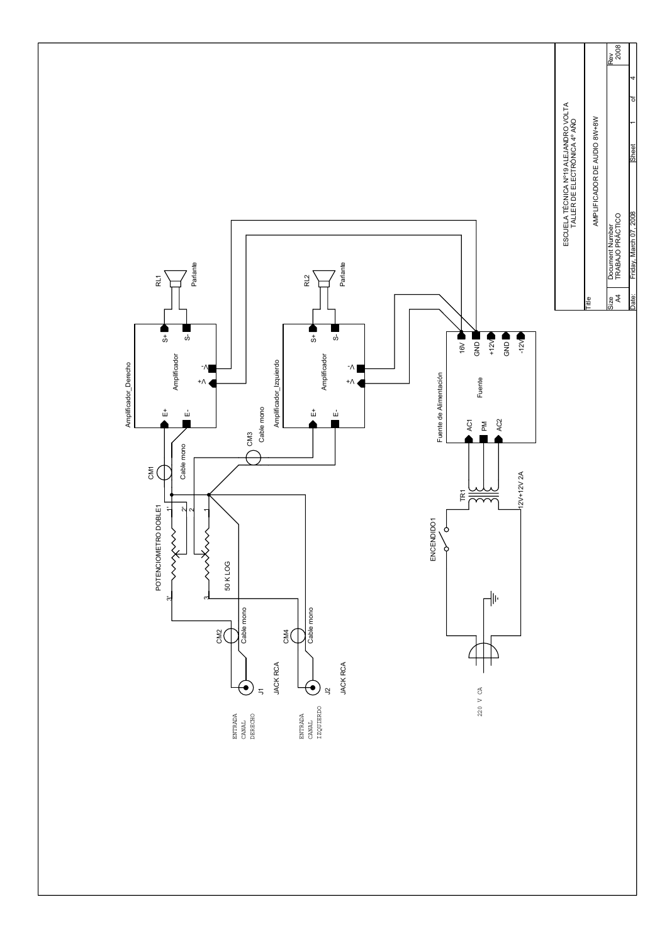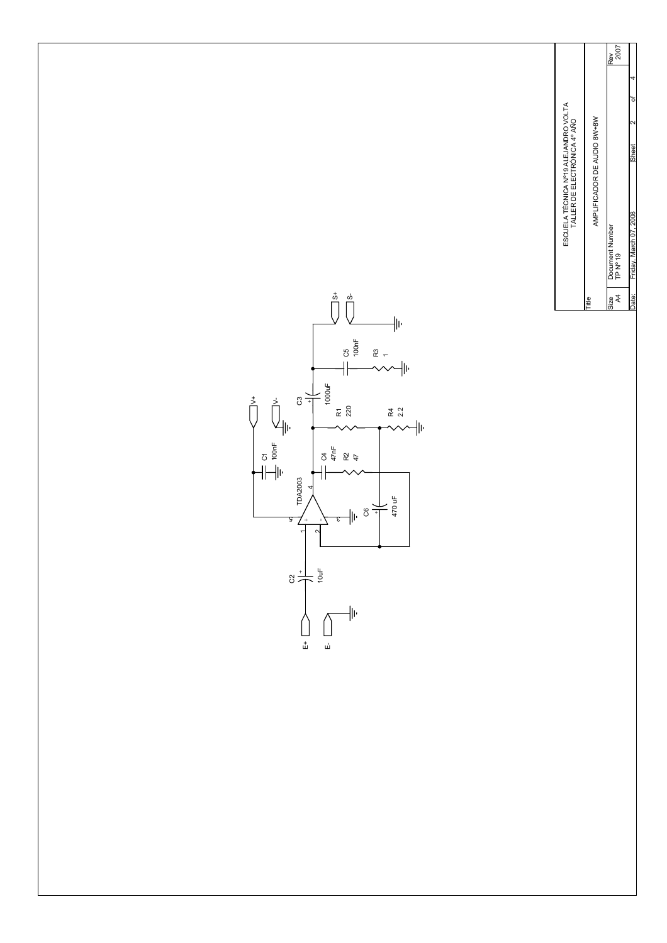Rev<br>2007 TP Nº 19 2007 Size Document Number Rev 2 4 Date: Friday. March 07.2008 Sheet 2 of ESCUELA TÉCNICA Nº19 ALEJANDRO VOLTA<br>TALLER DE ELECTRÓNICA 4º AÑO AMPLIFICADOR DE AUDIO 8W+8W AMPLIFICADOR DE AUDIO 8W+8W TALLER DE ELECTRÓNICA 4º AÑO Friday, March 07, 2008 Document Number<br>TP Nº 19 Friday, Mar Size<br>A4

Title

ESCUELA TÉCNICA Nº19 ALEJANDRO VOLTA

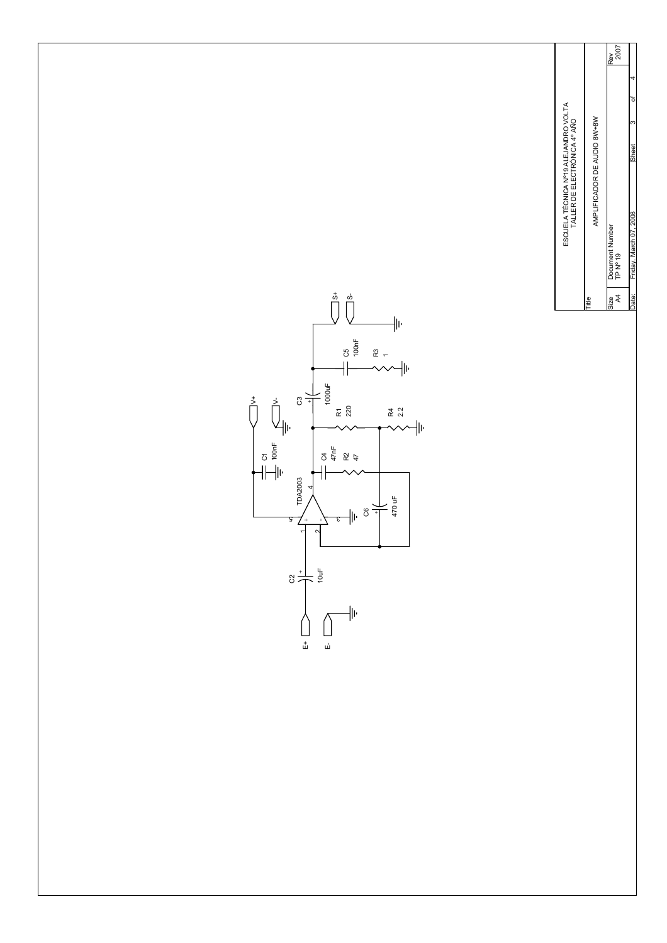Rev<br>2007 TP Nº 19 2007 Size Document Number Rev 3 4 Date: Friday. March 07.2008 Sheet 3 of ESCUELA TÉCNICA Nº19 ALEJANDRO VOLTA<br>TALLER DE ELECTRÓNICA 4º AÑO AMPLIFICADOR DE AUDIO 8W+8W AMPLIFICADOR DE AUDIO 8W+8W TALLER DE ELECTRÓNICA 4º AÑO Friday, March 07, 2008 Document Number<br>TP Nº 19 Friday, Mar Size<br>A4

Title

ESCUELA TÉCNICA Nº19 ALEJANDRO VOLTA